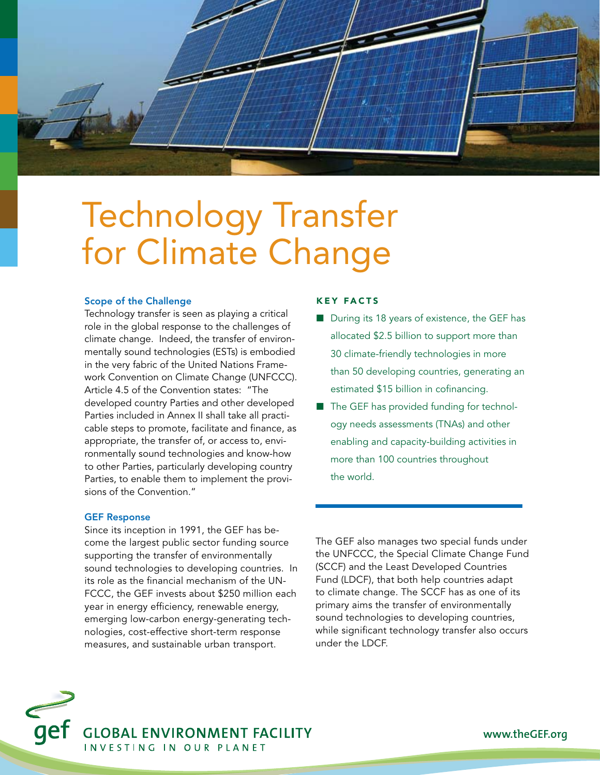

# Technology Transfer for Climate Change Ozone Depletion Land Degradation

# Scope of the Challenge

Technology transfer is seen as playing a critical role in the global response to the challenges of climate change. Indeed, the transfer of environmentally sound technologies (ESTs) is embodied in the very fabric of the United Nations Framework Convention on Climate Change (UNFCCC). Article 4.5 of the Convention states: "The developed country Parties and other developed Parties included in Annex II shall take all practicable steps to promote, facilitate and finance, as appropriate, the transfer of, or access to, environmentally sound technologies and know-how to other Parties, particularly developing country Parties, to enable them to implement the provisions of the Convention."

#### GEF Response

Since its inception in 1991, the GEF has become the largest public sector funding source supporting the transfer of environmentally sound technologies to developing countries. In its role as the financial mechanism of the UN-FCCC, the GEF invests about \$250 million each year in energy efficiency, renewable energy, emerging low-carbon energy-generating technologies, cost-effective short-term response measures, and sustainable urban transport.

# Key Facts

- $\blacksquare$  During its 18 years of existence, the GEF has allocated \$2.5 billion to support more than 30 climate-friendly technologies in more than 50 developing countries, generating an estimated \$15 billion in cofinancing.
- $\blacksquare$  The GEF has provided funding for technology needs assessments (TNAs) and other enabling and capacity-building activities in more than 100 countries throughout the world.

The GEF also manages two special funds under the UNFCCC, the Special Climate Change Fund (SCCF) and the Least Developed Countries Fund (LDCF), that both help countries adapt to climate change. The SCCF has as one of its primary aims the transfer of environmentally sound technologies to developing countries, while significant technology transfer also occurs under the LDCF.



www.theGEF.org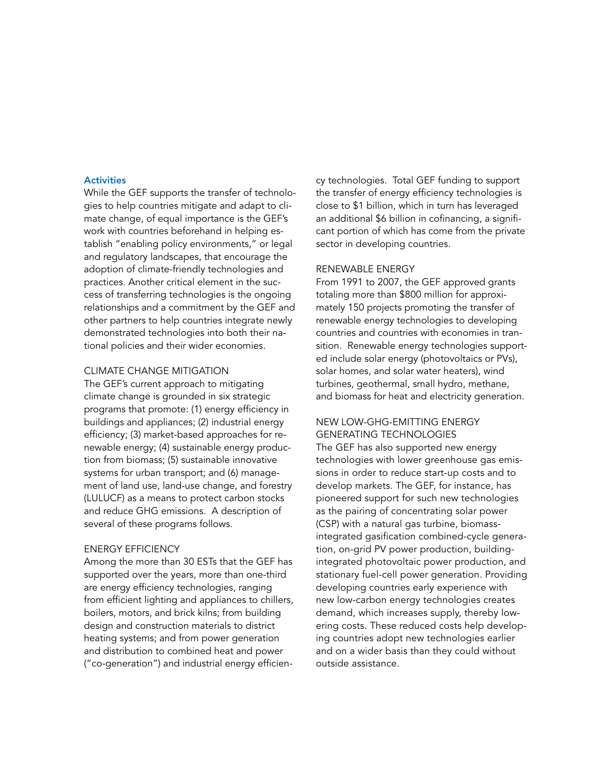### **Activities**

While the GEF supports the transfer of technologies to help countries mitigate and adapt to climate change, of equal importance is the GEF's work with countries beforehand in helping establish "enabling policy environments," or legal and regulatory landscapes, that encourage the adoption of climate-friendly technologies and practices. Another critical element in the success of transferring technologies is the ongoing relationships and a commitment by the GEF and other partners to help countries integrate newly demonstrated technologies into both their national policies and their wider economies.

# Climate Change Mitigation

The GEF's current approach to mitigating climate change is grounded in six strategic programs that promote: (1) energy efficiency in buildings and appliances; (2) industrial energy efficiency; (3) market-based approaches for renewable energy; (4) sustainable energy production from biomass; (5) sustainable innovative systems for urban transport; and (6) management of land use, land-use change, and forestry (LULUCF) as a means to protect carbon stocks and reduce GHG emissions. A description of several of these programs follows.

#### Energy Efficiency

Among the more than 30 ESTs that the GEF has supported over the years, more than one-third are energy efficiency technologies, ranging from efficient lighting and appliances to chillers, boilers, motors, and brick kilns; from building design and construction materials to district heating systems; and from power generation and distribution to combined heat and power ("co-generation") and industrial energy efficiency technologies. Total GEF funding to support the transfer of energy efficiency technologies is close to \$1 billion, which in turn has leveraged an additional \$6 billion in cofinancing, a significant portion of which has come from the private sector in developing countries.

#### Renewable Energy

From 1991 to 2007, the GEF approved grants totaling more than \$800 million for approximately 150 projects promoting the transfer of renewable energy technologies to developing countries and countries with economies in transition. Renewable energy technologies supported include solar energy (photovoltaics or PVs), solar homes, and solar water heaters), wind turbines, geothermal, small hydro, methane, and biomass for heat and electricity generation.

# New Low-GHG-Emitting Energy Generating Technologies

The GEF has also supported new energy technologies with lower greenhouse gas emissions in order to reduce start-up costs and to develop markets. The GEF, for instance, has pioneered support for such new technologies as the pairing of concentrating solar power (CSP) with a natural gas turbine, biomassintegrated gasification combined-cycle generation, on-grid PV power production, buildingintegrated photovoltaic power production, and stationary fuel-cell power generation. Providing developing countries early experience with new low-carbon energy technologies creates demand, which increases supply, thereby lowering costs. These reduced costs help developing countries adopt new technologies earlier and on a wider basis than they could without outside assistance.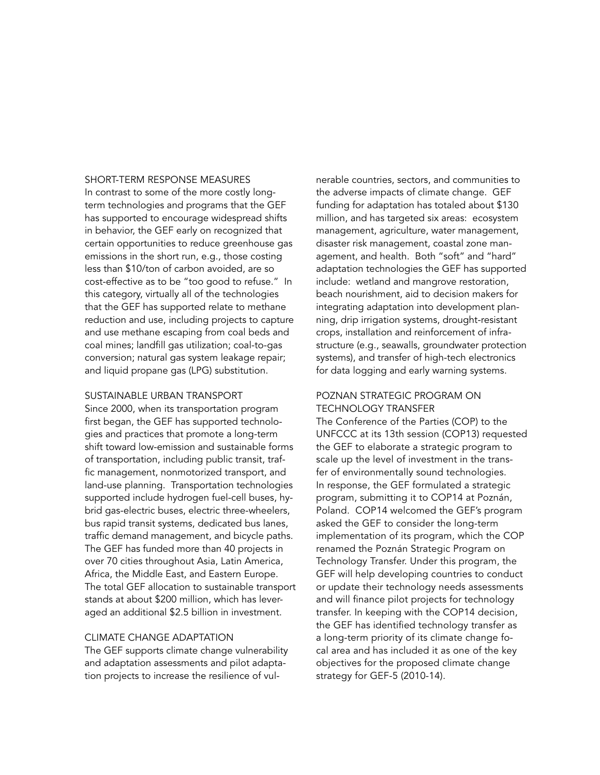#### Short-Term Response Measures

In contrast to some of the more costly longterm technologies and programs that the GEF has supported to encourage widespread shifts in behavior, the GEF early on recognized that certain opportunities to reduce greenhouse gas emissions in the short run, e.g., those costing less than \$10/ton of carbon avoided, are so cost-effective as to be "too good to refuse." In this category, virtually all of the technologies that the GEF has supported relate to methane reduction and use, including projects to capture and use methane escaping from coal beds and coal mines; landfill gas utilization; coal-to-gas conversion; natural gas system leakage repair; and liquid propane gas (LPG) substitution.

#### Sustainable Urban Transport

Since 2000, when its transportation program first began, the GEF has supported technologies and practices that promote a long-term shift toward low-emission and sustainable forms of transportation, including public transit, traffic management, nonmotorized transport, and land-use planning. Transportation technologies supported include hydrogen fuel-cell buses, hybrid gas-electric buses, electric three-wheelers, bus rapid transit systems, dedicated bus lanes, traffic demand management, and bicycle paths. The GEF has funded more than 40 projects in over 70 cities throughout Asia, Latin America, Africa, the Middle East, and Eastern Europe. The total GEF allocation to sustainable transport stands at about \$200 million, which has leveraged an additional \$2.5 billion in investment.

# Climate Change Adaptation

The GEF supports climate change vulnerability and adaptation assessments and pilot adaptation projects to increase the resilience of vulnerable countries, sectors, and communities to the adverse impacts of climate change. GEF funding for adaptation has totaled about \$130 million, and has targeted six areas: ecosystem management, agriculture, water management, disaster risk management, coastal zone management, and health. Both "soft" and "hard" adaptation technologies the GEF has supported include: wetland and mangrove restoration, beach nourishment, aid to decision makers for integrating adaptation into development planning, drip irrigation systems, drought-resistant crops, installation and reinforcement of infrastructure (e.g., seawalls, groundwater protection systems), and transfer of high-tech electronics for data logging and early warning systems.

# Poznan Strategic Program on Technology Transfer

The Conference of the Parties (COP) to the UNFCCC at its 13th session (COP13) requested the GEF to elaborate a strategic program to scale up the level of investment in the transfer of environmentally sound technologies. In response, the GEF formulated a strategic program, submitting it to COP14 at Poznán, Poland. COP14 welcomed the GEF's program asked the GEF to consider the long-term implementation of its program, which the COP renamed the Poznán Strategic Program on Technology Transfer. Under this program, the GEF will help developing countries to conduct or update their technology needs assessments and will finance pilot projects for technology transfer. In keeping with the COP14 decision, the GEF has identified technology transfer as a long-term priority of its climate change focal area and has included it as one of the key objectives for the proposed climate change strategy for GEF-5 (2010-14).